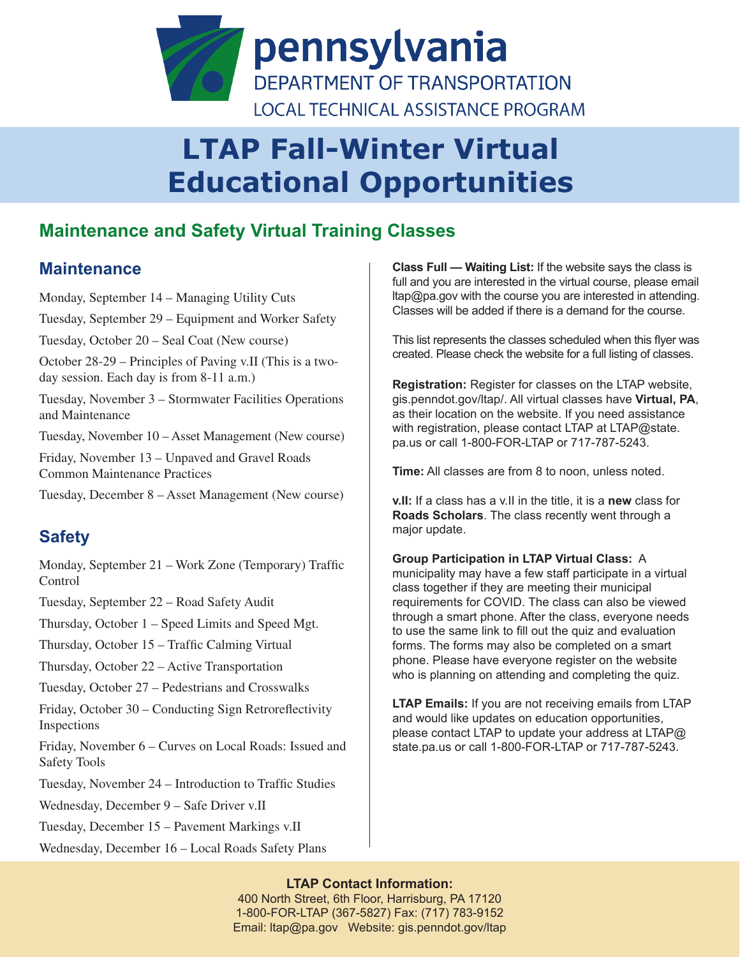

# **LTAP Fall-Winter Virtual Educational Opportunities**

## **Maintenance and Safety Virtual Training Classes**

### **Maintenance**

Monday, September 14 – Managing Utility Cuts Tuesday, September 29 – Equipment and Worker Safety Tuesday, October 20 – Seal Coat (New course) October 28-29 – Principles of Paving v.II (This is a twoday session. Each day is from 8-11 a.m.) Tuesday, November 3 – Stormwater Facilities Operations and Maintenance Tuesday, November 10 – Asset Management (New course) Friday, November 13 – Unpaved and Gravel Roads Common Maintenance Practices Tuesday, December 8 – Asset Management (New course) **Safety** Monday, September 21 – Work Zone (Temporary) Traffic Control Tuesday, September 22 – Road Safety Audit Thursday, October 1 – Speed Limits and Speed Mgt. Thursday, October 15 – Traffic Calming Virtual Thursday, October 22 – Active Transportation Tuesday, October 27 – Pedestrians and Crosswalks Friday, October 30 – Conducting Sign Retroreflectivity Inspections

Friday, November 6 – Curves on Local Roads: Issued and Safety Tools

Tuesday, November 24 – Introduction to Traffic Studies

Wednesday, December 9 – Safe Driver v.II

Tuesday, December 15 – Pavement Markings v.II

Wednesday, December 16 – Local Roads Safety Plans

**Class Full — Waiting List:** If the website says the class is full and you are interested in the virtual course, please email ltap@pa.gov with the course you are interested in attending. Classes will be added if there is a demand for the course.

This list represents the classes scheduled when this flyer was created. Please check the website for a full listing of classes.

**Registration:** Register for classes on the LTAP website, gis.penndot.gov/ltap/. All virtual classes have **Virtual, PA**, as their location on the website. If you need assistance with registration, please contact LTAP at LTAP@state. pa.us or call 1-800-FOR-LTAP or 717-787-5243.

**Time:** All classes are from 8 to noon, unless noted.

**v.II:** If a class has a v.II in the title, it is a **new** class for **Roads Scholars**. The class recently went through a major update.

**Group Participation in LTAP Virtual Class:** A municipality may have a few staff participate in a virtual class together if they are meeting their municipal requirements for COVID. The class can also be viewed through a smart phone. After the class, everyone needs to use the same link to fill out the quiz and evaluation forms. The forms may also be completed on a smart phone. Please have everyone register on the website who is planning on attending and completing the quiz.

**LTAP Emails:** If you are not receiving emails from LTAP and would like updates on education opportunities, please contact LTAP to update your address at LTAP@ state.pa.us or call 1-800-FOR-LTAP or 717-787-5243.

#### **LTAP Contact Information:**

400 North Street, 6th Floor, Harrisburg, PA 17120 1-800-FOR-LTAP (367-5827) Fax: (717) 783-9152 Email: ltap@pa.gov Website: gis.penndot.gov/ltap